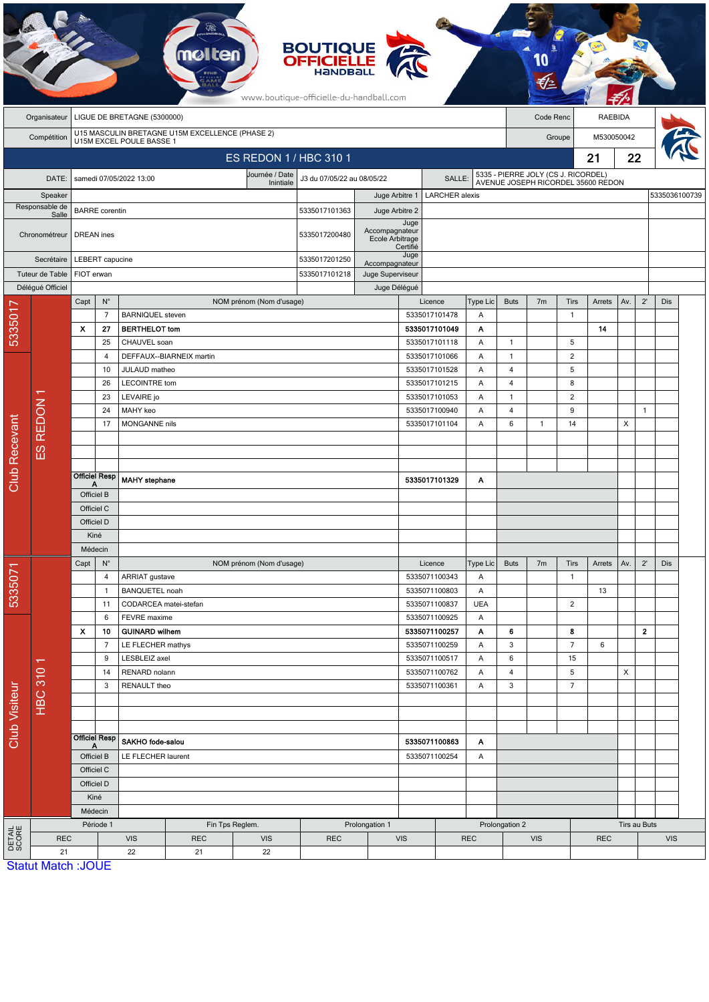|                           |                                             |                                                  |                      |                                        |                                                                             |                          | <b>BOUTIQUE<br/>OFFICIELLE</b><br>www.boutique-officielle-du-handball.com |                                                     |                                    |                    |                                                                           |                |                     |            |              |              |               |  |
|---------------------------|---------------------------------------------|--------------------------------------------------|----------------------|----------------------------------------|-----------------------------------------------------------------------------|--------------------------|---------------------------------------------------------------------------|-----------------------------------------------------|------------------------------------|--------------------|---------------------------------------------------------------------------|----------------|---------------------|------------|--------------|--------------|---------------|--|
|                           | LIGUE DE BRETAGNE (5300000)<br>Organisateur |                                                  |                      |                                        |                                                                             |                          |                                                                           |                                                     |                                    |                    | <b>RAEBIDA</b><br>Code Renc                                               |                |                     |            |              |              |               |  |
|                           | Compétition                                 |                                                  |                      |                                        | U15 MASCULIN BRETAGNE U15M EXCELLENCE (PHASE 2)<br>U15M EXCEL POULE BASSE 1 |                          |                                                                           |                                                     |                                    |                    | Groupe                                                                    |                |                     | M530050042 |              |              |               |  |
|                           |                                             |                                                  |                      |                                        |                                                                             | ES REDON 1 / HBC 310 1   |                                                                           |                                                     |                                    |                    | 21                                                                        |                |                     |            | 22           |              |               |  |
|                           |                                             |                                                  |                      |                                        |                                                                             | Journée / Date           |                                                                           |                                                     |                                    |                    |                                                                           |                |                     |            |              |              |               |  |
|                           | DATE:                                       |                                                  |                      | samedi 07/05/2022 13:00                |                                                                             | Inintiale                | J3 du 07/05/22 au 08/05/22<br>SALLE:                                      |                                                     |                                    |                    | 5335 - PIERRE JOLY (CS J. RICORDEL)<br>AVENUE JOSEPH RICORDEL 35600 REDON |                |                     |            |              |              |               |  |
| Speaker<br>Responsable de |                                             |                                                  |                      |                                        |                                                                             |                          |                                                                           | Juge Arbitre 1                                      | <b>LARCHER</b> alexis              |                    |                                                                           |                |                     |            |              |              | 5335036100739 |  |
|                           | Salle<br>Chronométreur                      | <b>BARRE</b> corentin<br><b>DREAN</b> ines       |                      |                                        |                                                                             |                          | 5335017101363<br>5335017200480                                            | Juge Arbitre 2<br>Accompagnateur<br>Ecole Arbitrage | Juge                               |                    |                                                                           |                |                     |            |              |              |               |  |
|                           |                                             |                                                  |                      |                                        |                                                                             |                          |                                                                           | Certifié                                            | Juge                               |                    |                                                                           |                |                     |            |              |              |               |  |
|                           | Secrétaire<br>Tuteur de Table               |                                                  | LEBERT capucine      |                                        |                                                                             |                          | 5335017201250<br>5335017101218                                            |                                                     | Accompagnateur<br>Juge Superviseur |                    |                                                                           |                |                     |            |              |              |               |  |
|                           | Délégué Officiel                            | FIOT erwan                                       |                      |                                        |                                                                             |                          |                                                                           | Juge Délégué                                        |                                    |                    |                                                                           |                |                     |            |              |              |               |  |
|                           |                                             | Capt                                             | $N^{\circ}$          |                                        |                                                                             | NOM prénom (Nom d'usage) |                                                                           |                                                     | Licence                            | Type Lic           | <b>Buts</b>                                                               | 7 <sub>m</sub> | Tirs                | Arrets     | Av.          | $2^{\prime}$ | Dis           |  |
| 5335017                   |                                             |                                                  | $\overline{7}$       | <b>BARNIQUEL</b> steven                |                                                                             |                          |                                                                           |                                                     | 5335017101478                      | Α                  |                                                                           |                | $\mathbf{1}$        |            |              |              |               |  |
|                           |                                             | х                                                | 27                   | <b>BERTHELOT</b> tom                   |                                                                             |                          |                                                                           |                                                     | 5335017101049                      | Α                  |                                                                           |                |                     | 14         |              |              |               |  |
|                           |                                             |                                                  | 25                   | CHAUVEL soan                           |                                                                             |                          |                                                                           |                                                     | 5335017101118                      | Α                  | $\mathbf{1}$                                                              |                | 5                   |            |              |              |               |  |
|                           |                                             |                                                  | 4                    |                                        | DEFFAUX--BIARNEIX martin                                                    |                          |                                                                           |                                                     | 5335017101066                      | Α                  | $\mathbf{1}$<br>$\overline{4}$                                            |                | $\overline{2}$      |            |              |              |               |  |
|                           |                                             |                                                  | 10                   | JULAUD matheo                          |                                                                             |                          |                                                                           |                                                     |                                    | 5335017101528<br>Α |                                                                           |                | 5                   |            |              |              |               |  |
|                           |                                             |                                                  | 26                   | <b>LECOINTRE tom</b>                   |                                                                             |                          |                                                                           |                                                     | 5335017101215                      | Α                  | $\overline{4}$                                                            |                | 8                   |            |              |              |               |  |
|                           |                                             |                                                  | 23<br>24             | LEVAIRE jo<br>MAHY keo                 |                                                                             |                          |                                                                           |                                                     | 5335017101053<br>5335017100940     | Α<br>Α             | $\mathbf{1}$<br>4                                                         |                | $\overline{2}$<br>9 |            |              | $\mathbf{1}$ |               |  |
|                           | ES REDON                                    |                                                  | 17                   | MONGANNE nils                          |                                                                             |                          |                                                                           |                                                     | 5335017101104                      |                    | 6                                                                         | 1              | 14                  |            | X            |              |               |  |
|                           |                                             |                                                  |                      |                                        |                                                                             |                          |                                                                           |                                                     |                                    |                    |                                                                           |                |                     |            |              |              |               |  |
|                           |                                             |                                                  |                      |                                        |                                                                             |                          |                                                                           |                                                     |                                    |                    |                                                                           |                |                     |            |              |              |               |  |
| <b>Club Recevant</b>      |                                             |                                                  |                      |                                        |                                                                             |                          |                                                                           |                                                     |                                    |                    |                                                                           |                |                     |            |              |              |               |  |
|                           |                                             | <b>Officiel Resp</b><br>Α                        |                      | MAHY stephane                          |                                                                             |                          |                                                                           |                                                     | 5335017101329                      | Α                  |                                                                           |                |                     |            |              |              |               |  |
|                           |                                             | Officiel B                                       |                      |                                        |                                                                             |                          |                                                                           |                                                     |                                    |                    |                                                                           |                |                     |            |              |              |               |  |
|                           |                                             | Officiel C<br>Officiel D                         |                      |                                        |                                                                             |                          |                                                                           |                                                     |                                    |                    |                                                                           |                |                     |            |              |              |               |  |
|                           |                                             | Kiné                                             |                      |                                        |                                                                             |                          |                                                                           |                                                     |                                    |                    |                                                                           |                |                     |            |              |              |               |  |
|                           |                                             | Médecin                                          |                      |                                        |                                                                             |                          |                                                                           |                                                     |                                    |                    |                                                                           |                |                     |            |              |              |               |  |
|                           |                                             | $\mathsf{N}^\circ$<br>Capt                       |                      |                                        |                                                                             | NOM prénom (Nom d'usage) |                                                                           |                                                     | Licence                            | Type Lic           | <b>Buts</b>                                                               | 7 <sub>m</sub> | <b>Tirs</b>         | Arrets     | Av.          | $2^{\prime}$ | Dis           |  |
|                           |                                             |                                                  | $\overline{4}$       | ARRIAT gustave                         |                                                                             |                          |                                                                           |                                                     | 5335071100343                      | Α                  |                                                                           |                | $\overline{1}$      |            |              |              |               |  |
| 533507                    |                                             | $\mathbf{1}$                                     |                      | <b>BANQUETEL noah</b>                  |                                                                             |                          |                                                                           |                                                     | 5335071100803                      | Α                  |                                                                           |                |                     | 13         |              |              |               |  |
|                           |                                             |                                                  | 11                   | CODARCEA matei-stefan                  |                                                                             |                          |                                                                           |                                                     | 5335071100837                      | <b>UEA</b>         |                                                                           |                | $\overline{2}$      |            |              |              |               |  |
| <b>Club Visiteur</b>      | π<br><b>HBC 310</b>                         |                                                  | 6                    | FEVRE maxime                           |                                                                             |                          |                                                                           |                                                     | 5335071100925                      | A                  |                                                                           |                |                     |            |              |              |               |  |
|                           |                                             | $\boldsymbol{\mathsf{x}}$                        | 10<br>$\overline{7}$ | <b>GUINARD wilhem</b>                  |                                                                             |                          |                                                                           |                                                     | 5335071100257<br>5335071100259     | Α<br>Α             | 6<br>3                                                                    |                | 8<br>$\overline{7}$ | 6          |              | $\mathbf{2}$ |               |  |
|                           |                                             | 9<br>14                                          |                      | LE FLECHER mathys<br>LESBLEIZ axel     |                                                                             |                          |                                                                           |                                                     | 5335071100517                      | Α                  | 6                                                                         |                | 15                  |            |              |              |               |  |
|                           |                                             |                                                  |                      | RENARD nolann                          |                                                                             |                          |                                                                           |                                                     | 5335071100762<br>A                 |                    | $\overline{4}$                                                            |                | 5                   |            | X            |              |               |  |
|                           |                                             |                                                  | 3                    | RENAULT theo                           |                                                                             |                          |                                                                           |                                                     | 5335071100361                      | Α                  | $\mathbf{3}$                                                              |                | $\overline{7}$      |            |              |              |               |  |
|                           |                                             |                                                  |                      |                                        |                                                                             |                          |                                                                           |                                                     |                                    |                    |                                                                           |                |                     |            |              |              |               |  |
|                           |                                             |                                                  |                      |                                        |                                                                             |                          |                                                                           |                                                     |                                    |                    |                                                                           |                |                     |            |              |              |               |  |
|                           |                                             | <b>Officiel Resp</b><br>Officiel B<br>Officiel C |                      | SAKHO fode-salou<br>LE FLECHER laurent |                                                                             |                          |                                                                           | 5335071100863<br>A<br>5335071100254<br>A            |                                    |                    |                                                                           |                |                     |            |              |              |               |  |
|                           |                                             |                                                  |                      |                                        |                                                                             |                          |                                                                           |                                                     |                                    |                    |                                                                           |                |                     |            |              |              |               |  |
|                           |                                             |                                                  |                      |                                        |                                                                             |                          |                                                                           |                                                     |                                    |                    |                                                                           |                |                     |            |              |              |               |  |
|                           |                                             | Officiel D<br>Kiné                               |                      |                                        |                                                                             |                          |                                                                           |                                                     |                                    |                    |                                                                           |                |                     |            |              |              |               |  |
|                           |                                             | Médecin                                          |                      |                                        |                                                                             |                          |                                                                           |                                                     |                                    |                    |                                                                           |                |                     |            |              |              |               |  |
|                           |                                             | Période 1                                        |                      |                                        |                                                                             | Fin Tps Reglem.          |                                                                           | Prolongation 1                                      |                                    |                    | Prolongation 2                                                            |                |                     |            | Tirs au Buts |              |               |  |
| <b>DETAIL</b><br>SCORE    | <b>REC</b>                                  |                                                  |                      | <b>VIS</b>                             | <b>REC</b>                                                                  | <b>VIS</b>               | <b>REC</b>                                                                | VIS                                                 |                                    |                    | <b>VIS</b><br><b>REC</b>                                                  |                |                     |            |              | <b>VIS</b>   |               |  |
|                           | 21                                          |                                                  |                      | 22                                     | 21                                                                          | 22                       |                                                                           |                                                     |                                    |                    |                                                                           |                |                     |            |              |              |               |  |